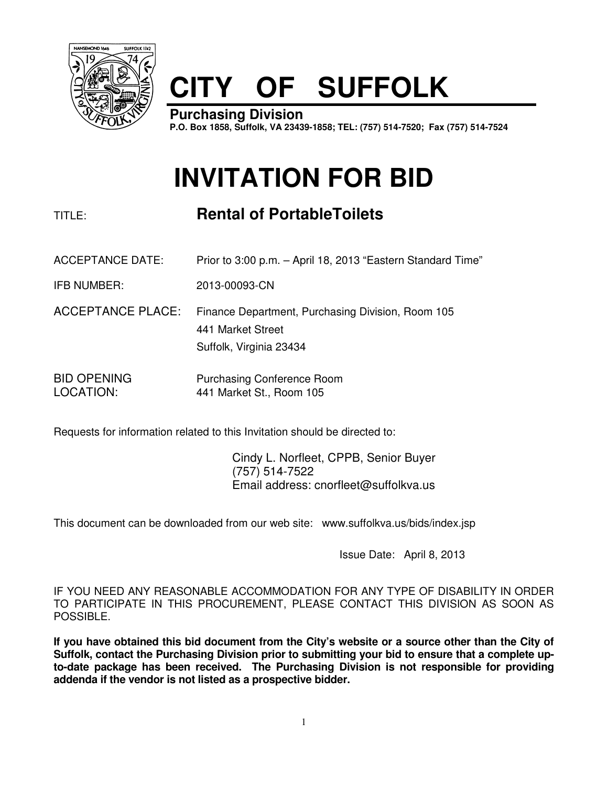

# **CITY OF SUFFOLK**

**Purchasing Division P.O. Box 1858, Suffolk, VA 23439-1858; TEL: (757) 514-7520; Fax (757) 514-7524**

## **INVITATION FOR BID**

TITLE: **Rental of PortableToilets** 

- ACCEPTANCE DATE: Prior to 3:00 p.m. April 18, 2013 "Eastern Standard Time"
- IFB NUMBER: 2013-00093-CN
- ACCEPTANCE PLACE: Finance Department, Purchasing Division, Room 105 441 Market Street Suffolk, Virginia 23434

BID OPENING Purchasing Conference Room LOCATION: 441 Market St., Room 105

Requests for information related to this Invitation should be directed to:

 Cindy L. Norfleet, CPPB, Senior Buyer (757) 514-7522 Email address: cnorfleet@suffolkva.us

This document can be downloaded from our web site: www.suffolkva.us/bids/index.jsp

Issue Date: April 8, 2013

IF YOU NEED ANY REASONABLE ACCOMMODATION FOR ANY TYPE OF DISABILITY IN ORDER TO PARTICIPATE IN THIS PROCUREMENT, PLEASE CONTACT THIS DIVISION AS SOON AS POSSIBLE.

**If you have obtained this bid document from the City's website or a source other than the City of Suffolk, contact the Purchasing Division prior to submitting your bid to ensure that a complete upto-date package has been received. The Purchasing Division is not responsible for providing addenda if the vendor is not listed as a prospective bidder.**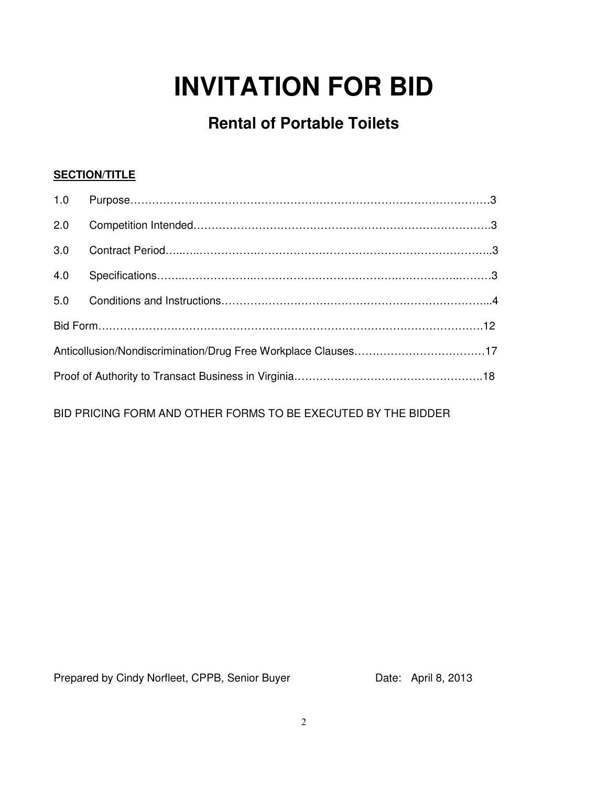## **INVITATION FOR BID**

## **Rental of Portable Toilets**

## **SECTION/TITLE**

| 1.0 |  |  |  |  |
|-----|--|--|--|--|
| 2.0 |  |  |  |  |
| 3.0 |  |  |  |  |
| 4.0 |  |  |  |  |
| 5.0 |  |  |  |  |
|     |  |  |  |  |
|     |  |  |  |  |
|     |  |  |  |  |

BID PRICING FORM AND OTHER FORMS TO BE EXECUTED BY THE BIDDER

Prepared by Cindy Norfleet, CPPB, Senior Buyer Date: April 8, 2013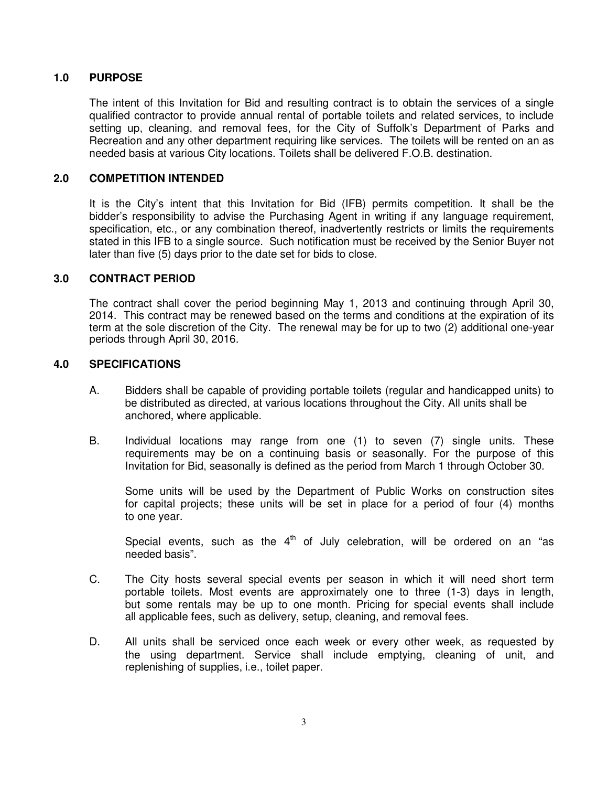## **1.0 PURPOSE**

 The intent of this Invitation for Bid and resulting contract is to obtain the services of a single qualified contractor to provide annual rental of portable toilets and related services, to include setting up, cleaning, and removal fees, for the City of Suffolk's Department of Parks and Recreation and any other department requiring like services. The toilets will be rented on an as needed basis at various City locations. Toilets shall be delivered F.O.B. destination.

## **2.0 COMPETITION INTENDED**

 It is the City's intent that this Invitation for Bid (IFB) permits competition. It shall be the bidder's responsibility to advise the Purchasing Agent in writing if any language requirement, specification, etc., or any combination thereof, inadvertently restricts or limits the requirements stated in this IFB to a single source. Such notification must be received by the Senior Buyer not later than five (5) days prior to the date set for bids to close.

## **3.0 CONTRACT PERIOD**

The contract shall cover the period beginning May 1, 2013 and continuing through April 30, 2014. This contract may be renewed based on the terms and conditions at the expiration of its term at the sole discretion of the City. The renewal may be for up to two (2) additional one-year periods through April 30, 2016.

## **4.0 SPECIFICATIONS**

- A. Bidders shall be capable of providing portable toilets (regular and handicapped units) to be distributed as directed, at various locations throughout the City. All units shall be anchored, where applicable.
- B. Individual locations may range from one (1) to seven (7) single units. These requirements may be on a continuing basis or seasonally. For the purpose of this Invitation for Bid, seasonally is defined as the period from March 1 through October 30.

 Some units will be used by the Department of Public Works on construction sites for capital projects; these units will be set in place for a period of four (4) months to one year.

Special events, such as the  $4<sup>th</sup>$  of July celebration, will be ordered on an "as needed basis".

- C. The City hosts several special events per season in which it will need short term portable toilets. Most events are approximately one to three (1-3) days in length, but some rentals may be up to one month. Pricing for special events shall include all applicable fees, such as delivery, setup, cleaning, and removal fees.
- D. All units shall be serviced once each week or every other week, as requested by the using department. Service shall include emptying, cleaning of unit, and replenishing of supplies, i.e., toilet paper.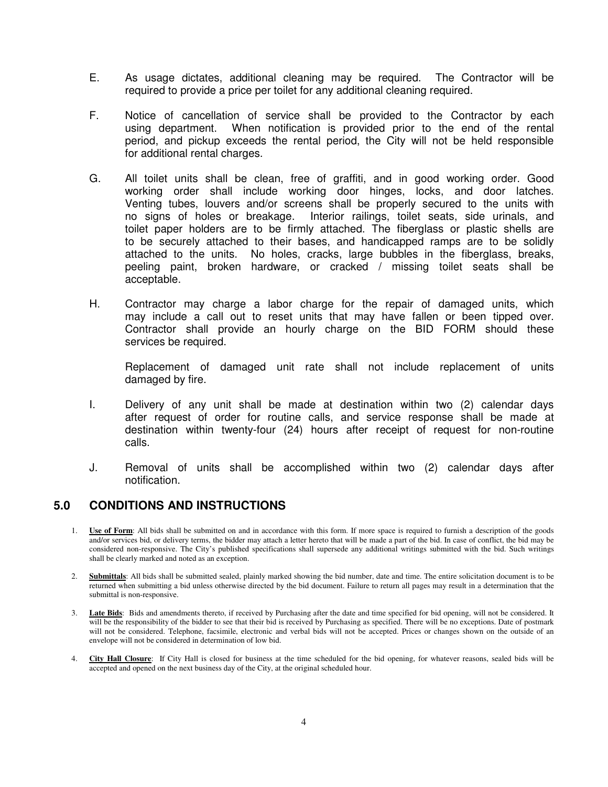- E. As usage dictates, additional cleaning may be required. The Contractor will be required to provide a price per toilet for any additional cleaning required.
- F. Notice of cancellation of service shall be provided to the Contractor by each using department. When notification is provided prior to the end of the rental period, and pickup exceeds the rental period, the City will not be held responsible for additional rental charges.
- G. All toilet units shall be clean, free of graffiti, and in good working order. Good working order shall include working door hinges, locks, and door latches. Venting tubes, louvers and/or screens shall be properly secured to the units with no signs of holes or breakage. Interior railings, toilet seats, side urinals, and toilet paper holders are to be firmly attached. The fiberglass or plastic shells are to be securely attached to their bases, and handicapped ramps are to be solidly attached to the units. No holes, cracks, large bubbles in the fiberglass, breaks, peeling paint, broken hardware, or cracked / missing toilet seats shall be acceptable.
- H. Contractor may charge a labor charge for the repair of damaged units, which may include a call out to reset units that may have fallen or been tipped over. Contractor shall provide an hourly charge on the BID FORM should these services be required.

 Replacement of damaged unit rate shall not include replacement of units damaged by fire.

- I. Delivery of any unit shall be made at destination within two (2) calendar days after request of order for routine calls, and service response shall be made at destination within twenty-four (24) hours after receipt of request for non-routine calls.
- J. Removal of units shall be accomplished within two (2) calendar days after notification.

## **5.0 CONDITIONS AND INSTRUCTIONS**

- 1. **Use of Form**: All bids shall be submitted on and in accordance with this form. If more space is required to furnish a description of the goods and/or services bid, or delivery terms, the bidder may attach a letter hereto that will be made a part of the bid. In case of conflict, the bid may be considered non-responsive. The City's published specifications shall supersede any additional writings submitted with the bid. Such writings shall be clearly marked and noted as an exception.
- 2. **Submittals**: All bids shall be submitted sealed, plainly marked showing the bid number, date and time. The entire solicitation document is to be returned when submitting a bid unless otherwise directed by the bid document. Failure to return all pages may result in a determination that the submittal is non-responsive.
- 3. **Late Bids**: Bids and amendments thereto, if received by Purchasing after the date and time specified for bid opening, will not be considered. It will be the responsibility of the bidder to see that their bid is received by Purchasing as specified. There will be no exceptions. Date of postmark will not be considered. Telephone, facsimile, electronic and verbal bids will not be accepted. Prices or changes shown on the outside of an envelope will not be considered in determination of low bid.
- 4. **City Hall Closure**: If City Hall is closed for business at the time scheduled for the bid opening, for whatever reasons, sealed bids will be accepted and opened on the next business day of the City, at the original scheduled hour.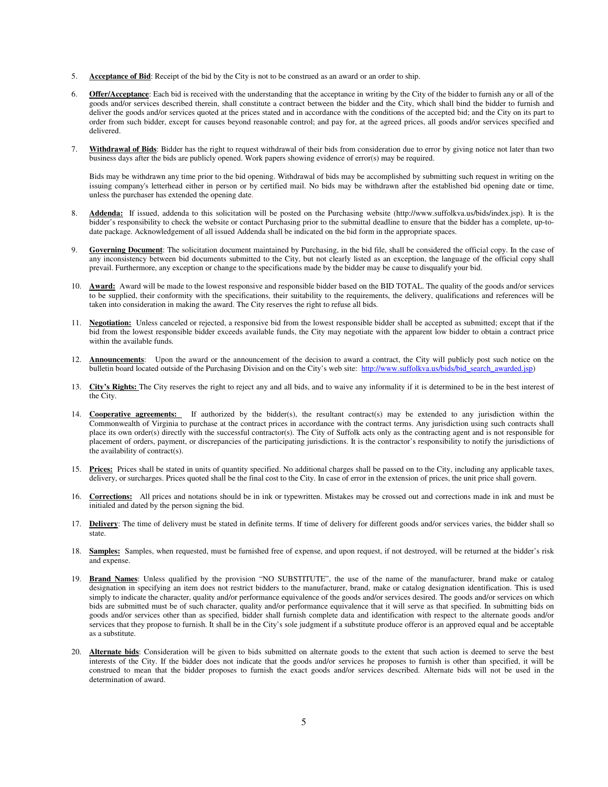- 5. **Acceptance of Bid**: Receipt of the bid by the City is not to be construed as an award or an order to ship.
- 6. **Offer/Acceptance**: Each bid is received with the understanding that the acceptance in writing by the City of the bidder to furnish any or all of the goods and/or services described therein, shall constitute a contract between the bidder and the City, which shall bind the bidder to furnish and deliver the goods and/or services quoted at the prices stated and in accordance with the conditions of the accepted bid; and the City on its part to order from such bidder, except for causes beyond reasonable control; and pay for, at the agreed prices, all goods and/or services specified and delivered.
- 7. **Withdrawal of Bids**: Bidder has the right to request withdrawal of their bids from consideration due to error by giving notice not later than two business days after the bids are publicly opened. Work papers showing evidence of error(s) may be required.

Bids may be withdrawn any time prior to the bid opening. Withdrawal of bids may be accomplished by submitting such request in writing on the issuing company's letterhead either in person or by certified mail. No bids may be withdrawn after the established bid opening date or time, unless the purchaser has extended the opening date.

- 8. **Addenda:** If issued, addenda to this solicitation will be posted on the Purchasing website (http://www.suffolkva.us/bids/index.jsp). It is the bidder's responsibility to check the website or contact Purchasing prior to the submittal deadline to ensure that the bidder has a complete, up-todate package. Acknowledgement of all issued Addenda shall be indicated on the bid form in the appropriate spaces.
- Governing Document: The solicitation document maintained by Purchasing, in the bid file, shall be considered the official copy. In the case of any inconsistency between bid documents submitted to the City, but not clearly listed as an exception, the language of the official copy shall prevail. Furthermore, any exception or change to the specifications made by the bidder may be cause to disqualify your bid.
- 10. **Award:** Award will be made to the lowest responsive and responsible bidder based on the BID TOTAL. The quality of the goods and/or services to be supplied, their conformity with the specifications, their suitability to the requirements, the delivery, qualifications and references will be taken into consideration in making the award. The City reserves the right to refuse all bids.
- 11. **Negotiation:** Unless canceled or rejected, a responsive bid from the lowest responsible bidder shall be accepted as submitted; except that if the bid from the lowest responsible bidder exceeds available funds, the City may negotiate with the apparent low bidder to obtain a contract price within the available funds.
- 12. **Announcements**: Upon the award or the announcement of the decision to award a contract, the City will publicly post such notice on the bulletin board located outside of the Purchasing Division and on the City's web site: http://www.suffolkva.us/bids/bid\_search\_awarded.jsp)
- 13. **City's Rights:** The City reserves the right to reject any and all bids, and to waive any informality if it is determined to be in the best interest of the City.
- 14. **Cooperative agreements:** If authorized by the bidder(s), the resultant contract(s) may be extended to any jurisdiction within the Commonwealth of Virginia to purchase at the contract prices in accordance with the contract terms. Any jurisdiction using such contracts shall place its own order(s) directly with the successful contractor(s). The City of Suffolk acts only as the contracting agent and is not responsible for placement of orders, payment, or discrepancies of the participating jurisdictions. It is the contractor's responsibility to notify the jurisdictions of the availability of contract(s).
- 15. **Prices:** Prices shall be stated in units of quantity specified. No additional charges shall be passed on to the City, including any applicable taxes, delivery, or surcharges. Prices quoted shall be the final cost to the City. In case of error in the extension of prices, the unit price shall govern.
- 16. **Corrections:** All prices and notations should be in ink or typewritten. Mistakes may be crossed out and corrections made in ink and must be initialed and dated by the person signing the bid.
- 17. Delivery: The time of delivery must be stated in definite terms. If time of delivery for different goods and/or services varies, the bidder shall so state.
- 18. **Samples:** Samples, when requested, must be furnished free of expense, and upon request, if not destroyed, will be returned at the bidder's risk and expense.
- 19. **Brand Names**: Unless qualified by the provision "NO SUBSTITUTE", the use of the name of the manufacturer, brand make or catalog designation in specifying an item does not restrict bidders to the manufacturer, brand, make or catalog designation identification. This is used simply to indicate the character, quality and/or performance equivalence of the goods and/or services desired. The goods and/or services on which bids are submitted must be of such character, quality and/or performance equivalence that it will serve as that specified. In submitting bids on goods and/or services other than as specified, bidder shall furnish complete data and identification with respect to the alternate goods and/or services that they propose to furnish. It shall be in the City's sole judgment if a substitute produce offeror is an approved equal and be acceptable as a substitute.
- 20. **Alternate bids**: Consideration will be given to bids submitted on alternate goods to the extent that such action is deemed to serve the best interests of the City. If the bidder does not indicate that the goods and/or services he proposes to furnish is other than specified, it will be construed to mean that the bidder proposes to furnish the exact goods and/or services described. Alternate bids will not be used in the determination of award.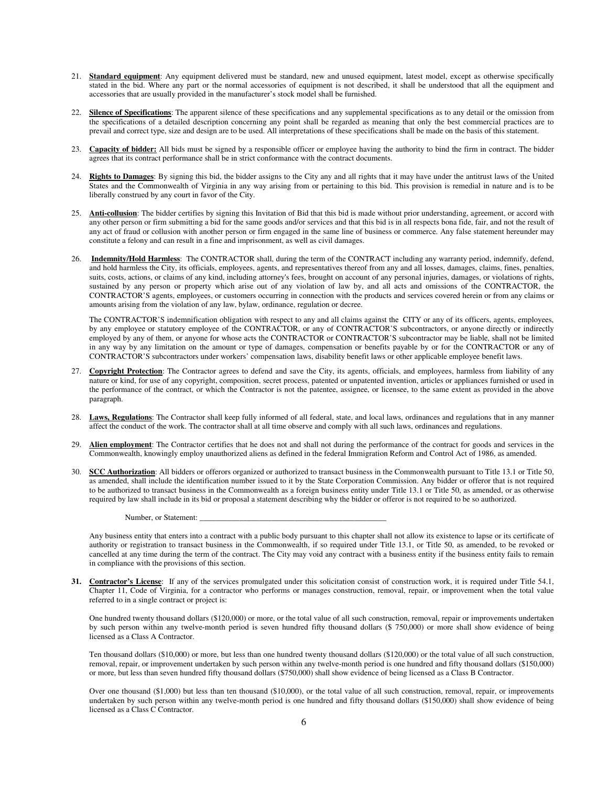- 21. **Standard equipment**: Any equipment delivered must be standard, new and unused equipment, latest model, except as otherwise specifically stated in the bid. Where any part or the normal accessories of equipment is not described, it shall be understood that all the equipment and accessories that are usually provided in the manufacturer's stock model shall be furnished.
- 22. **Silence of Specifications**: The apparent silence of these specifications and any supplemental specifications as to any detail or the omission from the specifications of a detailed description concerning any point shall be regarded as meaning that only the best commercial practices are to prevail and correct type, size and design are to be used. All interpretations of these specifications shall be made on the basis of this statement.
- 23. **Capacity of bidder:** All bids must be signed by a responsible officer or employee having the authority to bind the firm in contract. The bidder agrees that its contract performance shall be in strict conformance with the contract documents.
- 24. **Rights to Damages**: By signing this bid, the bidder assigns to the City any and all rights that it may have under the antitrust laws of the United States and the Commonwealth of Virginia in any way arising from or pertaining to this bid. This provision is remedial in nature and is to be liberally construed by any court in favor of the City.
- 25. **Anti-collusion**: The bidder certifies by signing this Invitation of Bid that this bid is made without prior understanding, agreement, or accord with any other person or firm submitting a bid for the same goods and/or services and that this bid is in all respects bona fide, fair, and not the result of any act of fraud or collusion with another person or firm engaged in the same line of business or commerce. Any false statement hereunder may constitute a felony and can result in a fine and imprisonment, as well as civil damages.
- 26. **Indemnity/Hold Harmless**: The CONTRACTOR shall, during the term of the CONTRACT including any warranty period, indemnify, defend, and hold harmless the City, its officials, employees, agents, and representatives thereof from any and all losses, damages, claims, fines, penalties, suits, costs, actions, or claims of any kind, including attorney's fees, brought on account of any personal injuries, damages, or violations of rights, sustained by any person or property which arise out of any violation of law by, and all acts and omissions of the CONTRACTOR, the CONTRACTOR'S agents, employees, or customers occurring in connection with the products and services covered herein or from any claims or amounts arising from the violation of any law, bylaw, ordinance, regulation or decree.

 The CONTRACTOR'S indemnification obligation with respect to any and all claims against the CITY or any of its officers, agents, employees, by any employee or statutory employee of the CONTRACTOR, or any of CONTRACTOR'S subcontractors, or anyone directly or indirectly employed by any of them, or anyone for whose acts the CONTRACTOR or CONTRACTOR'S subcontractor may be liable, shall not be limited in any way by any limitation on the amount or type of damages, compensation or benefits payable by or for the CONTRACTOR or any of CONTRACTOR'S subcontractors under workers' compensation laws, disability benefit laws or other applicable employee benefit laws.

- 27. **Copyright Protection**: The Contractor agrees to defend and save the City, its agents, officials, and employees, harmless from liability of any nature or kind, for use of any copyright, composition, secret process, patented or unpatented invention, articles or appliances furnished or used in the performance of the contract, or which the Contractor is not the patentee, assignee, or licensee, to the same extent as provided in the above paragraph.
- 28. **Laws, Regulations**: The Contractor shall keep fully informed of all federal, state, and local laws, ordinances and regulations that in any manner affect the conduct of the work. The contractor shall at all time observe and comply with all such laws, ordinances and regulations.
- 29. **Alien employment**: The Contractor certifies that he does not and shall not during the performance of the contract for goods and services in the Commonwealth, knowingly employ unauthorized aliens as defined in the federal Immigration Reform and Control Act of 1986, as amended.
- 30. **SCC Authorization**: All bidders or offerors organized or authorized to transact business in the Commonwealth pursuant to Title 13.1 or Title 50, as amended, shall include the identification number issued to it by the State Corporation Commission. Any bidder or offeror that is not required to be authorized to transact business in the Commonwealth as a foreign business entity under Title 13.1 or Title 50, as amended, or as otherwise required by law shall include in its bid or proposal a statement describing why the bidder or offeror is not required to be so authorized.

Number, or Statement:

Any business entity that enters into a contract with a public body pursuant to this chapter shall not allow its existence to lapse or its certificate of authority or registration to transact business in the Commonwealth, if so required under Title 13.1, or Title 50, as amended, to be revoked or cancelled at any time during the term of the contract. The City may void any contract with a business entity if the business entity fails to remain in compliance with the provisions of this section.

**31. Contractor's License**: If any of the services promulgated under this solicitation consist of construction work, it is required under Title 54.1, Chapter 11, Code of Virginia, for a contractor who performs or manages construction, removal, repair, or improvement when the total value referred to in a single contract or project is:

One hundred twenty thousand dollars (\$120,000) or more, or the total value of all such construction, removal, repair or improvements undertaken by such person within any twelve-month period is seven hundred fifty thousand dollars (\$ 750,000) or more shall show evidence of being licensed as a Class A Contractor.

Ten thousand dollars (\$10,000) or more, but less than one hundred twenty thousand dollars (\$120,000) or the total value of all such construction, removal, repair, or improvement undertaken by such person within any twelve-month period is one hundred and fifty thousand dollars (\$150,000) or more, but less than seven hundred fifty thousand dollars (\$750,000) shall show evidence of being licensed as a Class B Contractor.

Over one thousand (\$1,000) but less than ten thousand (\$10,000), or the total value of all such construction, removal, repair, or improvements undertaken by such person within any twelve-month period is one hundred and fifty thousand dollars (\$150,000) shall show evidence of being licensed as a Class C Contractor.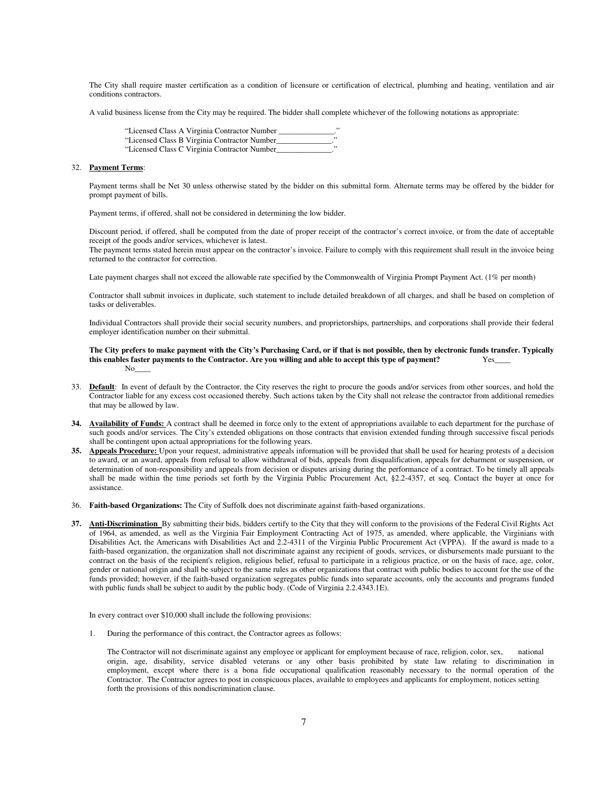The City shall require master certification as a condition of licensure or certification of electrical, plumbing and heating, ventilation and air conditions contractors.

A valid business license from the City may be required. The bidder shall complete whichever of the following notations as appropriate:

"Licensed Class A Virginia Contractor Number

- "Licensed Class B Virginia Contractor Number\_\_\_\_\_\_\_\_\_\_\_\_\_\_."
- "Licensed Class C Virginia Contractor Number\_\_\_\_\_\_\_\_\_\_\_\_\_\_."

#### 32. **Payment Terms**:

Payment terms shall be Net 30 unless otherwise stated by the bidder on this submittal form. Alternate terms may be offered by the bidder for prompt payment of bills.

Payment terms, if offered, shall not be considered in determining the low bidder.

Discount period, if offered, shall be computed from the date of proper receipt of the contractor's correct invoice, or from the date of acceptable receipt of the goods and/or services, whichever is latest.

The payment terms stated herein must appear on the contractor's invoice. Failure to comply with this requirement shall result in the invoice being returned to the contractor for correction.

Late payment charges shall not exceed the allowable rate specified by the Commonwealth of Virginia Prompt Payment Act. (1% per month)

Contractor shall submit invoices in duplicate, such statement to include detailed breakdown of all charges, and shall be based on completion of tasks or deliverables.

Individual Contractors shall provide their social security numbers, and proprietorships, partnerships, and corporations shall provide their federal employer identification number on their submittal.

#### **The City prefers to make payment with the City's Purchasing Card, or if that is not possible, then by electronic funds transfer. Typically this enables faster payments to the Contractor. Are you willing and able to accept this type of payment?** Yes\_\_\_\_  $\rm No$

- 33. **Default**: In event of default by the Contractor, the City reserves the right to procure the goods and/or services from other sources, and hold the Contractor liable for any excess cost occasioned thereby. Such actions taken by the City shall not release the contractor from additional remedies that may be allowed by law.
- **34. Availability of Funds:** A contract shall be deemed in force only to the extent of appropriations available to each department for the purchase of such goods and/or services. The City's extended obligations on those contracts that envision extended funding through successive fiscal periods shall be contingent upon actual appropriations for the following years.
- **35. Appeals Procedure:** Upon your request, administrative appeals information will be provided that shall be used for hearing protests of a decision to award, or an award, appeals from refusal to allow withdrawal of bids, appeals from disqualification, appeals for debarment or suspension, or determination of non-responsibility and appeals from decision or disputes arising during the performance of a contract. To be timely all appeals shall be made within the time periods set forth by the Virginia Public Procurement Act, §2.2-4357, et seq. Contact the buyer at once for assistance.
- 36. **Faith-based Organizations:** The City of Suffolk does not discriminate against faith-based organizations.
- **37. Anti-Discrimination** By submitting their bids, bidders certify to the City that they will conform to the provisions of the Federal Civil Rights Act of 1964, as amended, as well as the Virginia Fair Employment Contracting Act of 1975, as amended, where applicable, the Virginians with Disabilities Act, the Americans with Disabilities Act and 2.2-4311 of the Virginia Public Procurement Act (VPPA). If the award is made to a faith-based organization, the organization shall not discriminate against any recipient of goods, services, or disbursements made pursuant to the contract on the basis of the recipient's religion, religious belief, refusal to participate in a religious practice, or on the basis of race, age, color, gender or national origin and shall be subject to the same rules as other organizations that contract with public bodies to account for the use of the funds provided; however, if the faith-based organization segregates public funds into separate accounts, only the accounts and programs funded with public funds shall be subject to audit by the public body. (Code of Virginia 2.2.4343.1E).

In every contract over \$10,000 shall include the following provisions:

1. During the performance of this contract, the Contractor agrees as follows:

 The Contractor will not discriminate against any employee or applicant for employment because of race, religion, color, sex, national origin, age, disability, service disabled veterans or any other basis prohibited by state law relating to discrimination in employment, except where there is a bona fide occupational qualification reasonably necessary to the normal operation of the Contractor. The Contractor agrees to post in conspicuous places, available to employees and applicants for employment, notices setting forth the provisions of this nondiscrimination clause.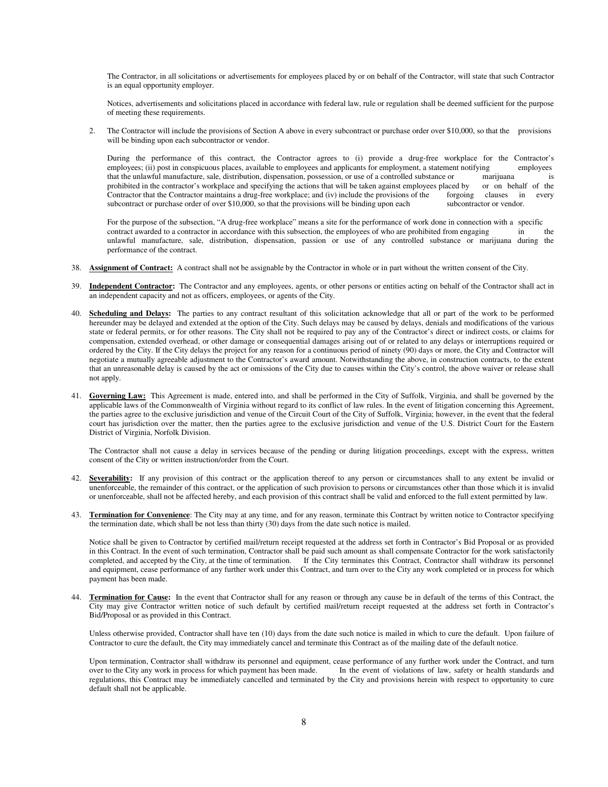The Contractor, in all solicitations or advertisements for employees placed by or on behalf of the Contractor, will state that such Contractor is an equal opportunity employer.

Notices, advertisements and solicitations placed in accordance with federal law, rule or regulation shall be deemed sufficient for the purpose of meeting these requirements.

2. The Contractor will include the provisions of Section A above in every subcontract or purchase order over \$10,000, so that the provisions will be binding upon each subcontractor or vendor.

 During the performance of this contract, the Contractor agrees to (i) provide a drug-free workplace for the Contractor's employees; (ii) post in conspicuous places, available to employees and applicants for employment, a statement notifying employees that the unlawful manufacture, sale, distribution, dispensation, possession, or use of a controlled substance or marijuana is prohibited in the contractor's workplace and specifying the actions that will be taken against employees placed by or on behalf of the Contractor maintains a drug-free workplace: and (iv) include the provisions of the forg Contractor that the Contractor maintains a drug-free workplace; and (iv) include the provisions of the forgoing clauses in every subcontract or purchase order of over \$10,000, so that the provisions will be binding upon each subcontractor or vendor.

 For the purpose of the subsection, "A drug-free workplace" means a site for the performance of work done in connection with a specific contract awarded to a contractor in accordance with this subsection, the employees of who are prohibited from engaging in the unlawful manufacture, sale, distribution, dispensation, passion or use of any controlled substance or marijuana during the performance of the contract.

- 38. **Assignment of Contract:** A contract shall not be assignable by the Contractor in whole or in part without the written consent of the City.
- 39. **Independent Contractor:** The Contractor and any employees, agents, or other persons or entities acting on behalf of the Contractor shall act in an independent capacity and not as officers, employees, or agents of the City.
- 40. **Scheduling and Delays:** The parties to any contract resultant of this solicitation acknowledge that all or part of the work to be performed hereunder may be delayed and extended at the option of the City. Such delays may be caused by delays, denials and modifications of the various state or federal permits, or for other reasons. The City shall not be required to pay any of the Contractor's direct or indirect costs, or claims for compensation, extended overhead, or other damage or consequential damages arising out of or related to any delays or interruptions required or ordered by the City. If the City delays the project for any reason for a continuous period of ninety (90) days or more, the City and Contractor will negotiate a mutually agreeable adjustment to the Contractor's award amount. Notwithstanding the above, in construction contracts, to the extent that an unreasonable delay is caused by the act or omissions of the City due to causes within the City's control, the above waiver or release shall not apply.
- 41. **Governing Law:** This Agreement is made, entered into, and shall be performed in the City of Suffolk, Virginia, and shall be governed by the applicable laws of the Commonwealth of Virginia without regard to its conflict of law rules. In the event of litigation concerning this Agreement, the parties agree to the exclusive jurisdiction and venue of the Circuit Court of the City of Suffolk, Virginia; however, in the event that the federal court has jurisdiction over the matter, then the parties agree to the exclusive jurisdiction and venue of the U.S. District Court for the Eastern District of Virginia, Norfolk Division.

The Contractor shall not cause a delay in services because of the pending or during litigation proceedings, except with the express, written consent of the City or written instruction/order from the Court.

- 42. **Severability:** If any provision of this contract or the application thereof to any person or circumstances shall to any extent be invalid or unenforceable, the remainder of this contract, or the application of such provision to persons or circumstances other than those which it is invalid or unenforceable, shall not be affected hereby, and each provision of this contract shall be valid and enforced to the full extent permitted by law.
- 43. **Termination for Convenience**: The City may at any time, and for any reason, terminate this Contract by written notice to Contractor specifying the termination date, which shall be not less than thirty (30) days from the date such notice is mailed.

Notice shall be given to Contractor by certified mail/return receipt requested at the address set forth in Contractor's Bid Proposal or as provided in this Contract. In the event of such termination, Contractor shall be paid such amount as shall compensate Contractor for the work satisfactorily completed, and accepted by the City, at the time of termination. If the City terminates this Contract, Contractor shall withdraw its personnel and equipment, cease performance of any further work under this Contract, and turn over to the City any work completed or in process for which payment has been made.

44. **Termination for Cause:** In the event that Contractor shall for any reason or through any cause be in default of the terms of this Contract, the City may give Contractor written notice of such default by certified mail/return receipt requested at the address set forth in Contractor's Bid/Proposal or as provided in this Contract.

Unless otherwise provided, Contractor shall have ten (10) days from the date such notice is mailed in which to cure the default. Upon failure of Contractor to cure the default, the City may immediately cancel and terminate this Contract as of the mailing date of the default notice.

Upon termination, Contractor shall withdraw its personnel and equipment, cease performance of any further work under the Contract, and turn over to the City any work in process for which payment has been made. In the event of violations of law, safety or health standards and regulations, this Contract may be immediately cancelled and terminated by the City and provisions herein with respect to opportunity to cure default shall not be applicable.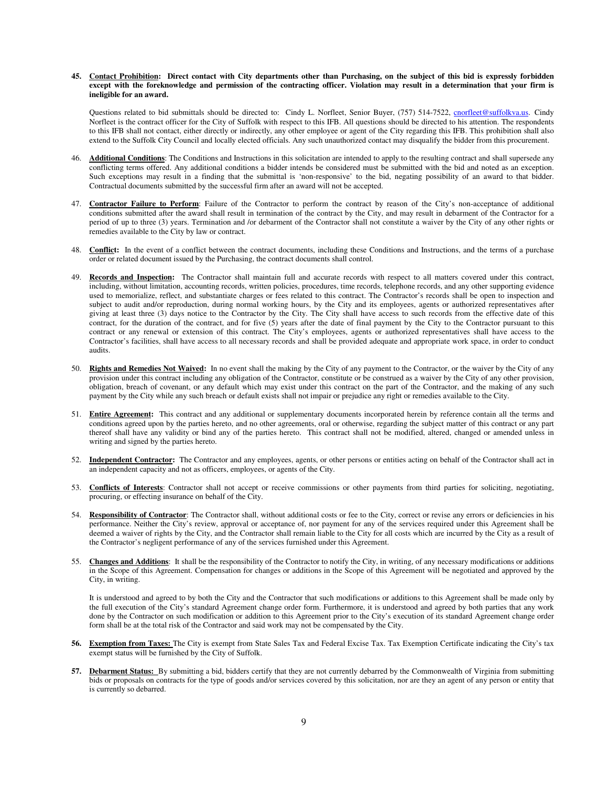#### **45. Contact Prohibition: Direct contact with City departments other than Purchasing, on the subject of this bid is expressly forbidden except with the foreknowledge and permission of the contracting officer. Violation may result in a determination that your firm is ineligible for an award.**

Questions related to bid submittals should be directed to: Cindy L. Norfleet, Senior Buyer, (757) 514-7522, cnorfleet@suffolkva.us. Cindy Norfleet is the contract officer for the City of Suffolk with respect to this IFB. All questions should be directed to his attention. The respondents to this IFB shall not contact, either directly or indirectly, any other employee or agent of the City regarding this IFB. This prohibition shall also extend to the Suffolk City Council and locally elected officials. Any such unauthorized contact may disqualify the bidder from this procurement.

- 46. **Additional Conditions**: The Conditions and Instructions in this solicitation are intended to apply to the resulting contract and shall supersede any conflicting terms offered. Any additional conditions a bidder intends be considered must be submitted with the bid and noted as an exception. Such exceptions may result in a finding that the submittal is 'non-responsive' to the bid, negating possibility of an award to that bidder. Contractual documents submitted by the successful firm after an award will not be accepted.
- 47. **Contractor Failure to Perform**: Failure of the Contractor to perform the contract by reason of the City's non-acceptance of additional conditions submitted after the award shall result in termination of the contract by the City, and may result in debarment of the Contractor for a period of up to three (3) years. Termination and /or debarment of the Contractor shall not constitute a waiver by the City of any other rights or remedies available to the City by law or contract.
- 48. **Conflict:** In the event of a conflict between the contract documents, including these Conditions and Instructions, and the terms of a purchase order or related document issued by the Purchasing, the contract documents shall control.
- 49. **Records and Inspection:** The Contractor shall maintain full and accurate records with respect to all matters covered under this contract, including, without limitation, accounting records, written policies, procedures, time records, telephone records, and any other supporting evidence used to memorialize, reflect, and substantiate charges or fees related to this contract. The Contractor's records shall be open to inspection and subject to audit and/or reproduction, during normal working hours, by the City and its employees, agents or authorized representatives after giving at least three (3) days notice to the Contractor by the City. The City shall have access to such records from the effective date of this contract, for the duration of the contract, and for five (5) years after the date of final payment by the City to the Contractor pursuant to this contract or any renewal or extension of this contract. The City's employees, agents or authorized representatives shall have access to the Contractor's facilities, shall have access to all necessary records and shall be provided adequate and appropriate work space, in order to conduct audits.
- 50. **Rights and Remedies Not Waived:** In no event shall the making by the City of any payment to the Contractor, or the waiver by the City of any provision under this contract including any obligation of the Contractor, constitute or be construed as a waiver by the City of any other provision, obligation, breach of covenant, or any default which may exist under this contract on the part of the Contractor, and the making of any such payment by the City while any such breach or default exists shall not impair or prejudice any right or remedies available to the City.
- 51. **Entire Agreement:** This contract and any additional or supplementary documents incorporated herein by reference contain all the terms and conditions agreed upon by the parties hereto, and no other agreements, oral or otherwise, regarding the subject matter of this contract or any part thereof shall have any validity or bind any of the parties hereto. This contract shall not be modified, altered, changed or amended unless in writing and signed by the parties hereto.
- 52. **Independent Contractor:** The Contractor and any employees, agents, or other persons or entities acting on behalf of the Contractor shall act in an independent capacity and not as officers, employees, or agents of the City.
- 53. **Conflicts of Interests**: Contractor shall not accept or receive commissions or other payments from third parties for soliciting, negotiating, procuring, or effecting insurance on behalf of the City.
- 54. **Responsibility of Contractor**: The Contractor shall, without additional costs or fee to the City, correct or revise any errors or deficiencies in his performance. Neither the City's review, approval or acceptance of, nor payment for any of the services required under this Agreement shall be deemed a waiver of rights by the City, and the Contractor shall remain liable to the City for all costs which are incurred by the City as a result of the Contractor's negligent performance of any of the services furnished under this Agreement.
- 55. **Changes and Additions**: It shall be the responsibility of the Contractor to notify the City, in writing, of any necessary modifications or additions in the Scope of this Agreement. Compensation for changes or additions in the Scope of this Agreement will be negotiated and approved by the City, in writing.

It is understood and agreed to by both the City and the Contractor that such modifications or additions to this Agreement shall be made only by the full execution of the City's standard Agreement change order form. Furthermore, it is understood and agreed by both parties that any work done by the Contractor on such modification or addition to this Agreement prior to the City's execution of its standard Agreement change order form shall be at the total risk of the Contractor and said work may not be compensated by the City.

- **56. Exemption from Taxes:** The City is exempt from State Sales Tax and Federal Excise Tax. Tax Exemption Certificate indicating the City's tax exempt status will be furnished by the City of Suffolk.
- 57. Debarment Status: By submitting a bid, bidders certify that they are not currently debarred by the Commonwealth of Virginia from submitting bids or proposals on contracts for the type of goods and/or services covered by this solicitation, nor are they an agent of any person or entity that is currently so debarred.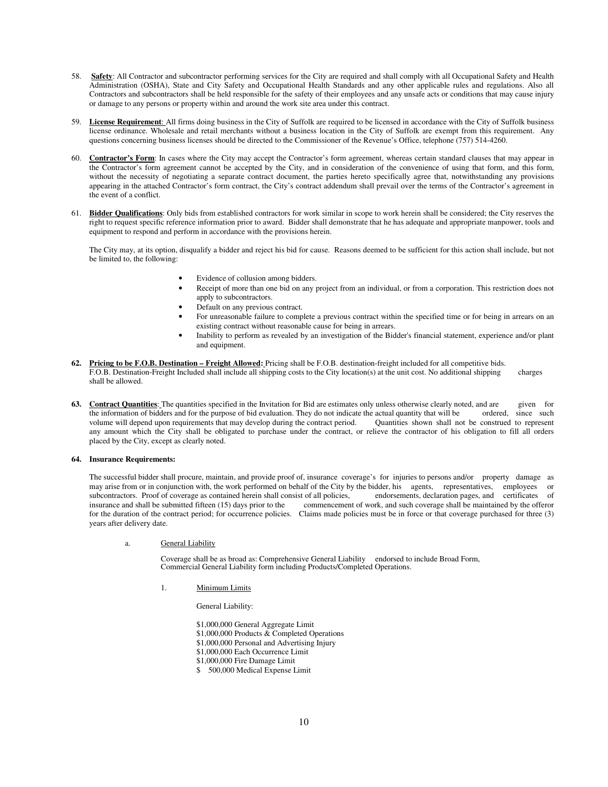- 58. **Safety**: All Contractor and subcontractor performing services for the City are required and shall comply with all Occupational Safety and Health Administration (OSHA), State and City Safety and Occupational Health Standards and any other applicable rules and regulations. Also all Contractors and subcontractors shall be held responsible for the safety of their employees and any unsafe acts or conditions that may cause injury or damage to any persons or property within and around the work site area under this contract.
- 59. **License Requirement**: All firms doing business in the City of Suffolk are required to be licensed in accordance with the City of Suffolk business license ordinance. Wholesale and retail merchants without a business location in the City of Suffolk are exempt from this requirement. Any questions concerning business licenses should be directed to the Commissioner of the Revenue's Office, telephone (757) 514-4260.
- 60. **Contractor's Form**: In cases where the City may accept the Contractor's form agreement, whereas certain standard clauses that may appear in the Contractor's form agreement cannot be accepted by the City, and in consideration of the convenience of using that form, and this form, without the necessity of negotiating a separate contract document, the parties hereto specifically agree that, notwithstanding any provisions appearing in the attached Contractor's form contract, the City's contract addendum shall prevail over the terms of the Contractor's agreement in the event of a conflict.
- 61. **Bidder Qualifications**: Only bids from established contractors for work similar in scope to work herein shall be considered; the City reserves the right to request specific reference information prior to award. Bidder shall demonstrate that he has adequate and appropriate manpower, tools and equipment to respond and perform in accordance with the provisions herein.

The City may, at its option, disqualify a bidder and reject his bid for cause. Reasons deemed to be sufficient for this action shall include, but not be limited to, the following:

- Evidence of collusion among bidders.
- Receipt of more than one bid on any project from an individual, or from a corporation. This restriction does not apply to subcontractors.
- Default on any previous contract.
- For unreasonable failure to complete a previous contract within the specified time or for being in arrears on an existing contract without reasonable cause for being in arrears.
- Inability to perform as revealed by an investigation of the Bidder's financial statement, experience and/or plant and equipment.
- **62. Pricing to be F.O.B. Destination Freight Allowed:** Pricing shall be F.O.B. destination-freight included for all competitive bids. F.O.B. Destination-Freight Included shall include all shipping costs to the City location(s) at the unit cost. No additional shipping charges shall be allowed.
- **63.** Contract Quantities: The quantities specified in the Invitation for Bid are estimates only unless otherwise clearly noted, and are given for the information of bidders and for the purpose of bid evaluation. They do not indicate the actual quantity that will be ordered, since such volume will depend upon requirements that may develop during the contract period. Quantities shown shall not be construed to represent any amount which the City shall be obligated to purchase under the contract, or relieve the contractor of his obligation to fill all orders placed by the City, except as clearly noted.

#### **64. Insurance Requirements:**

The successful bidder shall procure, maintain, and provide proof of, insurance coverage's for injuries to persons and/or property damage as may arise from or in conjunction with, the work performed on behalf of the City by the bidder, his agents, representatives, employees or subcontractors. Proof of coverage as contained herein shall consist of all policies, endorsements, declaration pages, and certificates of insurance and shall be submitted fifteen (15) days prior to the commencement of work, and such coverage shall be maintained by the offeror for the duration of the contract period; for occurrence policies. Claims made policies must be in force or that coverage purchased for three (3) years after delivery date.

a. General Liability

 Coverage shall be as broad as: Comprehensive General Liability endorsed to include Broad Form, Commercial General Liability form including Products/Completed Operations.

1. Minimum Limits

General Liability:

- \$1,000,000 General Aggregate Limit
- \$1,000,000 Products & Completed Operations
- \$1,000,000 Personal and Advertising Injury
- \$1,000,000 Each Occurrence Limit
- \$1,000,000 Fire Damage Limit
- \$ 500,000 Medical Expense Limit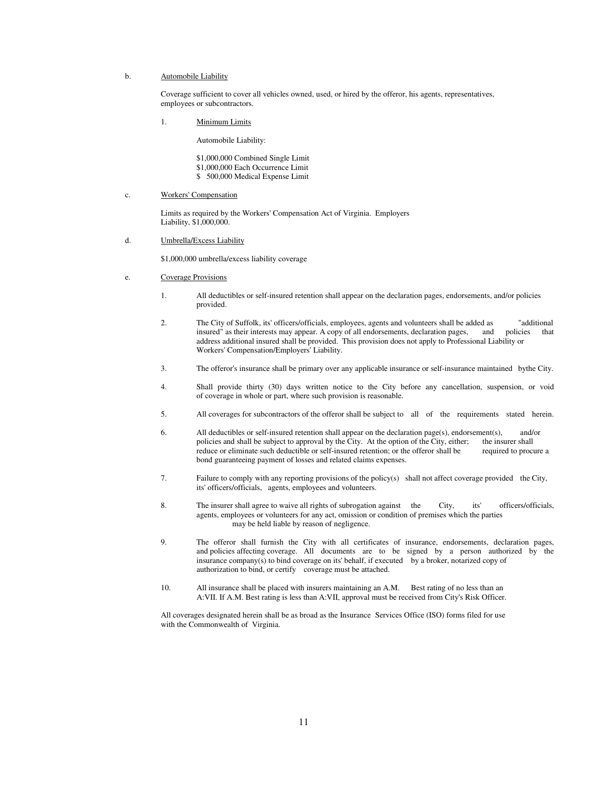#### b. Automobile Liability

 Coverage sufficient to cover all vehicles owned, used, or hired by the offeror, his agents, representatives, employees or subcontractors.

1. Minimum Limits

Automobile Liability:

 \$1,000,000 Combined Single Limit \$1,000,000 Each Occurrence Limit \$ 500,000 Medical Expense Limit

c. Workers' Compensation

 Limits as required by the Workers' Compensation Act of Virginia. Employers Liability, \$1,000,000.

d. Umbrella/Excess Liability

\$1,000,000 umbrella/excess liability coverage

- e. Coverage Provisions
	- 1. All deductibles or self-insured retention shall appear on the declaration pages, endorsements, and/or policies provided.
	- 2. The City of Suffolk, its' officers/officials, employees, agents and volunteers shall be added as "additional insured" as their interests may appear. A copy of all endorsements, declaration pages, and policies that address additional insured shall be provided. This provision does not apply to Professional Liability or Workers' Compensation/Employers' Liability.
	- 3. The offeror's insurance shall be primary over any applicable insurance or self-insurance maintained bythe City.
	- 4. Shall provide thirty (30) days written notice to the City before any cancellation, suspension, or void of coverage in whole or part, where such provision is reasonable.
	- 5. All coverages for subcontractors of the offeror shall be subject to all of the requirements stated herein.
	- 6. All deductibles or self-insured retention shall appear on the declaration page(s), endorsement(s), and/or policies and shall be subject to approval by the City. At the option of the City, either: the insurer shall policies and shall be subject to approval by the City. At the option of the City, either; reduce or eliminate such deductible or self-insured retention; or the offeror shall be required to procure a bond guaranteeing payment of losses and related claims expenses.
	- 7. Failure to comply with any reporting provisions of the policy(s) shall not affect coverage provided the City, its' officers/officials, agents, employees and volunteers.
	- 8. The insurer shall agree to waive all rights of subrogation against the City, its' officers/officials, agents, employees or volunteers for any act, omission or condition of premises which the parties may be held liable by reason of negligence.
	- 9. The offeror shall furnish the City with all certificates of insurance, endorsements, declaration pages, and policies affecting coverage. All documents are to be signed by a person authorized by the insurance company(s) to bind coverage on its' behalf, if executed by a broker, notarized copy of authorization to bind, or certify coverage must be attached.
	- 10. All insurance shall be placed with insurers maintaining an A.M. Best rating of no less than an A:VII. If A.M. Best rating is less than A:VII, approval must be received from City's Risk Officer.

 All coverages designated herein shall be as broad as the Insurance Services Office (ISO) forms filed for use with the Commonwealth of Virginia.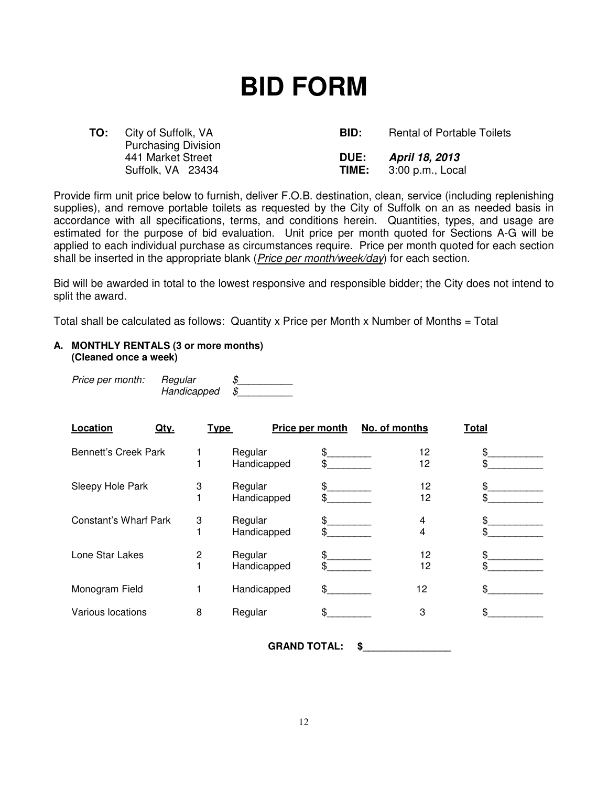## **BID FORM**

| TO: | City of Suffolk, VA        | BID:        | <b>Rental of Portable Toilets</b>        |
|-----|----------------------------|-------------|------------------------------------------|
|     | <b>Purchasing Division</b> |             |                                          |
|     | 441 Market Street          | <b>DUE:</b> | April 18, 2013                           |
|     | Suffolk, VA 23434          |             | <b>TIME:</b> $3:00 \text{ p.m.}$ , Local |

Provide firm unit price below to furnish, deliver F.O.B. destination, clean, service (including replenishing supplies), and remove portable toilets as requested by the City of Suffolk on an as needed basis in accordance with all specifications, terms, and conditions herein. Quantities, types, and usage are estimated for the purpose of bid evaluation. Unit price per month quoted for Sections A-G will be applied to each individual purchase as circumstances require. Price per month quoted for each section shall be inserted in the appropriate blank (*Price per month/week/day*) for each section.

Bid will be awarded in total to the lowest responsive and responsible bidder; the City does not intend to split the award.

Total shall be calculated as follows: Quantity x Price per Month x Number of Months = Total

## **A. MONTHLY RENTALS (3 or more months) (Cleaned once a week)**

Price per month: Regular \$ Handicapped \$\_\_\_\_\_\_\_\_\_\_

| Location                     | Qty. | <b>Type</b> | Price per month        |     | No. of months | <b>Total</b> |  |
|------------------------------|------|-------------|------------------------|-----|---------------|--------------|--|
| <b>Bennett's Creek Park</b>  |      |             | Regular<br>Handicapped | \$  | 12<br>12      |              |  |
| Sleepy Hole Park             | 3    |             | Regular<br>Handicapped | \$  |               | 12<br>12     |  |
| <b>Constant's Wharf Park</b> |      | 3           | Regular<br>Handicapped | \$  | 4<br>4        |              |  |
| Lone Star Lakes              |      | 2           | Regular<br>Handicapped | \$  |               | 12<br>12     |  |
| Monogram Field               |      |             | Handicapped            | \$  | 12            |              |  |
| Various locations            | 8    |             | Regular                | \$. | 3             |              |  |

GRAND TOTAL: \$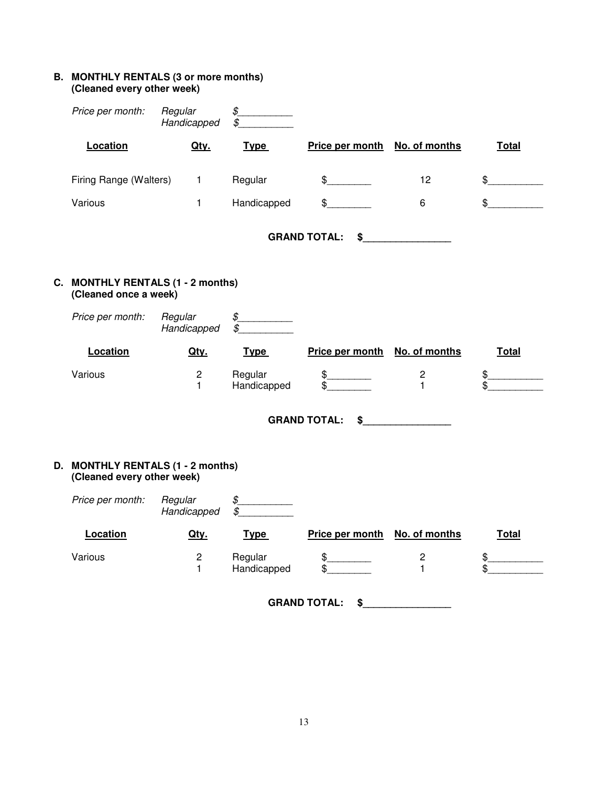## **B. MONTHLY RENTALS (3 or more months) (Cleaned every other week)**

| Price per month:                                                | Regular<br>Handicapped         | $\oint$<br>\$          |                                                                                                                                                                                                                                                                                                                                                           |                                         |                     |
|-----------------------------------------------------------------|--------------------------------|------------------------|-----------------------------------------------------------------------------------------------------------------------------------------------------------------------------------------------------------------------------------------------------------------------------------------------------------------------------------------------------------|-----------------------------------------|---------------------|
| Location                                                        | Qty.                           | <b>Type</b>            | Price per month                                                                                                                                                                                                                                                                                                                                           | No. of months                           | <b>Total</b>        |
| Firing Range (Walters)                                          | $\mathbf{1}$                   | Regular                | $\frac{1}{2}$                                                                                                                                                                                                                                                                                                                                             | 12                                      | $\mathfrak{S}$      |
| Various                                                         | $\mathbf{1}$                   | Handicapped            | $\frac{1}{2}$                                                                                                                                                                                                                                                                                                                                             | 6                                       | $\mathfrak s$       |
|                                                                 |                                |                        | <b>GRAND TOTAL:</b>                                                                                                                                                                                                                                                                                                                                       | $\sim$                                  |                     |
| C. MONTHLY RENTALS (1 - 2 months)<br>(Cleaned once a week)      |                                |                        |                                                                                                                                                                                                                                                                                                                                                           |                                         |                     |
| Price per month:                                                | Regular<br>Handicapped         | $\oint$<br>\$          |                                                                                                                                                                                                                                                                                                                                                           |                                         |                     |
| Location                                                        | Qty.                           | <b>Type</b>            | Price per month                                                                                                                                                                                                                                                                                                                                           | No. of months                           | <b>Total</b>        |
| Various                                                         | $\overline{c}$<br>$\mathbf{1}$ | Regular<br>Handicapped | $\frac{1}{2}$<br>$\overline{\mathcal{S}}$                                                                                                                                                                                                                                                                                                                 | $\overline{\mathbf{c}}$<br>$\mathbf{1}$ | $\frac{1}{2}$<br>\$ |
|                                                                 |                                |                        | <b>GRAND TOTAL:</b>                                                                                                                                                                                                                                                                                                                                       | $\sim$                                  |                     |
| D. MONTHLY RENTALS (1 - 2 months)<br>(Cleaned every other week) |                                |                        |                                                                                                                                                                                                                                                                                                                                                           |                                         |                     |
| Price per month:                                                | Regular<br>Handicapped         | $\oint$<br>\$          |                                                                                                                                                                                                                                                                                                                                                           |                                         |                     |
| Location                                                        | Qty.                           | <b>Type</b>            | <b>Price per month</b>                                                                                                                                                                                                                                                                                                                                    | No. of months                           | Total               |
| Various                                                         | $\overline{c}$<br>1            | Regular<br>Handicapped | $\begin{picture}(20,20) \put(0,0){\line(1,0){10}} \put(15,0){\line(1,0){10}} \put(15,0){\line(1,0){10}} \put(15,0){\line(1,0){10}} \put(15,0){\line(1,0){10}} \put(15,0){\line(1,0){10}} \put(15,0){\line(1,0){10}} \put(15,0){\line(1,0){10}} \put(15,0){\line(1,0){10}} \put(15,0){\line(1,0){10}} \put(15,0){\line(1,0){10}} \put(15,0){\line(1$<br>\$ | $\overline{\mathbf{c}}$<br>$\mathbf{1}$ | $\frac{1}{2}$<br>\$ |

**GRAND TOTAL: \$\_\_\_\_\_\_\_\_\_\_\_\_\_\_\_\_**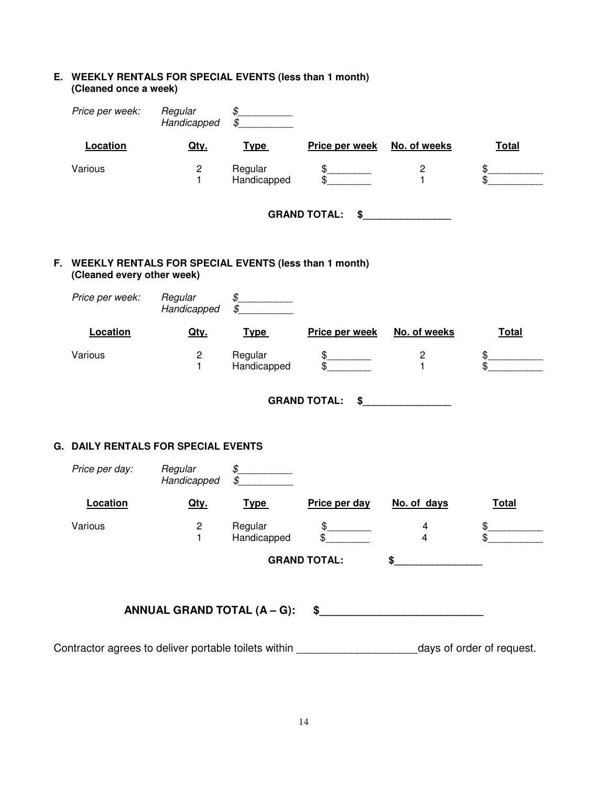| E. WEEKLY RENTALS FOR SPECIAL EVENTS (less than 1 month) |
|----------------------------------------------------------|
| (Cleaned once a week)                                    |

|     | Price per week:                                                                     | Regular<br>Handicapped      | $\oint$<br>\$                                                |                                |                                                                                                                                                                                                                                                                                                                                                                     |                              |
|-----|-------------------------------------------------------------------------------------|-----------------------------|--------------------------------------------------------------|--------------------------------|---------------------------------------------------------------------------------------------------------------------------------------------------------------------------------------------------------------------------------------------------------------------------------------------------------------------------------------------------------------------|------------------------------|
|     | Location                                                                            | Qty.                        | <b>Type</b>                                                  | Price per week                 | No. of weeks                                                                                                                                                                                                                                                                                                                                                        | <b>Total</b>                 |
|     | Various                                                                             | $\mathbf 2$<br>1            | Regular<br>Handicapped                                       | $\delta_-$<br>$\mathfrak{S}$   | $\overline{\mathbf{c}}$<br>1                                                                                                                                                                                                                                                                                                                                        | $\frac{1}{2}$<br>\$          |
|     |                                                                                     |                             |                                                              | <b>GRAND TOTAL:</b><br>\$      |                                                                                                                                                                                                                                                                                                                                                                     |                              |
| F., | WEEKLY RENTALS FOR SPECIAL EVENTS (less than 1 month)<br>(Cleaned every other week) |                             |                                                              |                                |                                                                                                                                                                                                                                                                                                                                                                     |                              |
|     | Price per week:                                                                     | Regular<br>Handicapped      | $\begin{array}{c} \circ \\ \circ \\ \circ \end{array}$<br>\$ |                                |                                                                                                                                                                                                                                                                                                                                                                     |                              |
|     | Location                                                                            | Qty.                        | <b>Type</b>                                                  | Price per week                 | No. of weeks                                                                                                                                                                                                                                                                                                                                                        | <b>Total</b>                 |
|     | Various                                                                             | $\mathbf 2$<br>$\mathbf{1}$ | Regular<br>Handicapped                                       | \$_<br>\$                      | 2<br>$\mathbf{1}$                                                                                                                                                                                                                                                                                                                                                   | $\frac{1}{2}$<br>\$          |
|     |                                                                                     |                             |                                                              | <b>GRAND TOTAL:</b><br>\$      |                                                                                                                                                                                                                                                                                                                                                                     |                              |
|     | <b>G. DAILY RENTALS FOR SPECIAL EVENTS</b>                                          |                             |                                                              |                                |                                                                                                                                                                                                                                                                                                                                                                     |                              |
|     | Price per day:                                                                      | Regular<br>Handicapped      | $\oint$<br>\$                                                |                                |                                                                                                                                                                                                                                                                                                                                                                     |                              |
|     | Location                                                                            | Qty.                        | <b>Type</b>                                                  | Price per day                  | No. of days                                                                                                                                                                                                                                                                                                                                                         | <b>Total</b>                 |
|     | Various                                                                             | $\overline{c}$<br>1         | Regular<br>Handicapped                                       | $\frac{1}{2}$<br>$\frac{1}{2}$ | 4<br>4                                                                                                                                                                                                                                                                                                                                                              | $\frac{1}{2}$<br>$\bigoplus$ |
|     |                                                                                     |                             |                                                              | <b>GRAND TOTAL:</b>            | $\begin{picture}(20,10) \put(0,0){\vector(1,0){100}} \put(15,0){\vector(1,0){100}} \put(15,0){\vector(1,0){100}} \put(15,0){\vector(1,0){100}} \put(15,0){\vector(1,0){100}} \put(15,0){\vector(1,0){100}} \put(15,0){\vector(1,0){100}} \put(15,0){\vector(1,0){100}} \put(15,0){\vector(1,0){100}} \put(15,0){\vector(1,0){100}} \put(15,0){\vector(1,0){100}} \$ |                              |
|     |                                                                                     |                             |                                                              |                                |                                                                                                                                                                                                                                                                                                                                                                     |                              |
|     |                                                                                     |                             |                                                              |                                |                                                                                                                                                                                                                                                                                                                                                                     |                              |
|     | Contractor agrees to deliver portable toilets within ___________________________    |                             |                                                              |                                |                                                                                                                                                                                                                                                                                                                                                                     | days of order of request.    |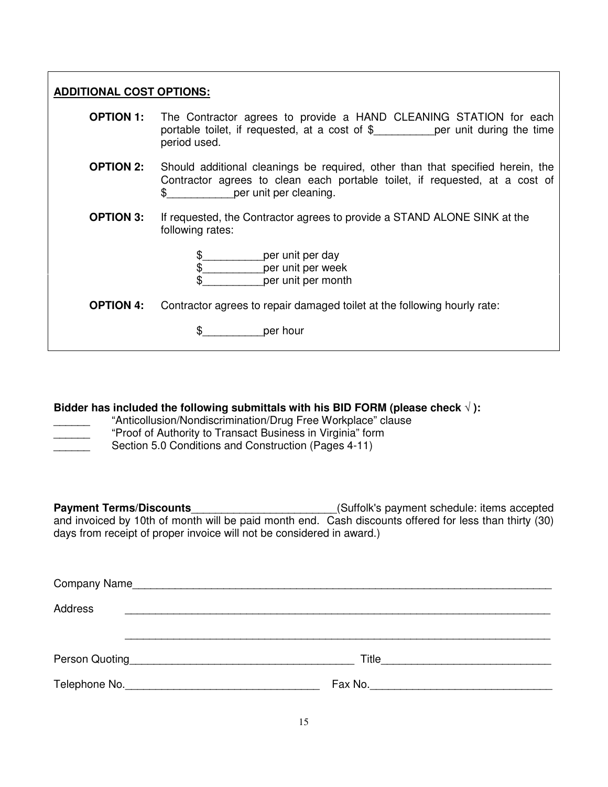| <b>ADDITIONAL COST OPTIONS:</b> |                                                                                                                                                                                               |  |  |  |
|---------------------------------|-----------------------------------------------------------------------------------------------------------------------------------------------------------------------------------------------|--|--|--|
| <b>OPTION 1:</b>                | The Contractor agrees to provide a HAND CLEANING STATION for each<br>portable toilet, if requested, at a cost of $\frac{1}{2}$ per unit during the time<br>period used.                       |  |  |  |
| <b>OPTION 2:</b>                | Should additional cleanings be required, other than that specified herein, the<br>Contractor agrees to clean each portable toilet, if requested, at a cost of<br>per unit per cleaning.<br>\$ |  |  |  |
| <b>OPTION 3:</b>                | If requested, the Contractor agrees to provide a STAND ALONE SINK at the<br>following rates:                                                                                                  |  |  |  |
|                                 | \$_____________per unit per day<br>\$    per unit per week<br>\$.<br>per unit per month                                                                                                       |  |  |  |
| <b>OPTION 4:</b>                | Contractor agrees to repair damaged toilet at the following hourly rate:                                                                                                                      |  |  |  |
|                                 | \$ per hour                                                                                                                                                                                   |  |  |  |
|                                 |                                                                                                                                                                                               |  |  |  |
|                                 | Ridder has included the following submittals with his RID FORM (please check $\sqrt{ }$ ).                                                                                                    |  |  |  |

**Bidder has included the following submittals with his BID FORM (please check** √ **):** 

"Anticollusion/Nondiscrimination/Drug Free Workplace" clause \_\_\_\_\_\_ "Proof of Authority to Transact Business in Virginia" form

Section 5.0 Conditions and Construction (Pages 4-11)

**Payment Terms/Discounts**\_\_\_\_\_\_\_\_\_\_\_\_\_\_\_\_\_\_\_\_\_\_\_\_(Suffolk's payment schedule: items accepted and invoiced by 10th of month will be paid month end. Cash discounts offered for less than thirty (30) days from receipt of proper invoice will not be considered in award.)

| Company Name   |  |  |  |  |
|----------------|--|--|--|--|
| Address        |  |  |  |  |
|                |  |  |  |  |
| Person Quoting |  |  |  |  |
| Telephone No.  |  |  |  |  |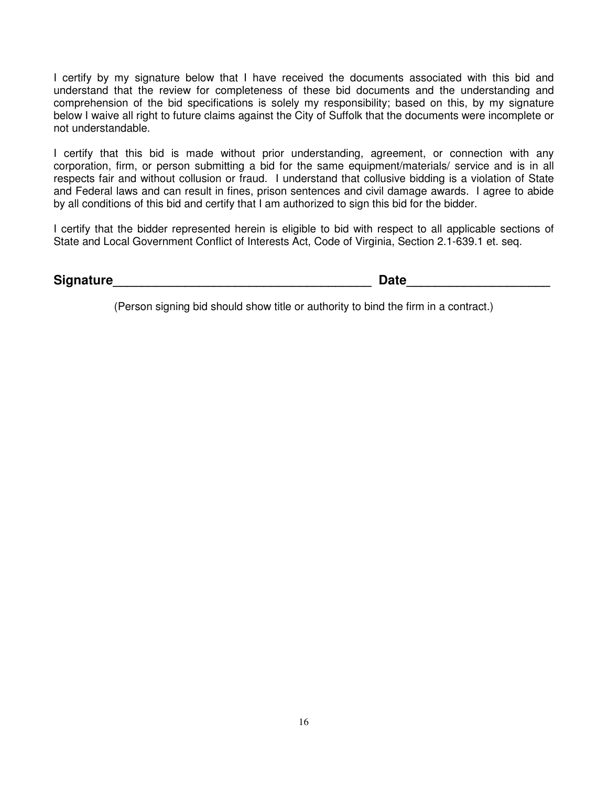I certify by my signature below that I have received the documents associated with this bid and understand that the review for completeness of these bid documents and the understanding and comprehension of the bid specifications is solely my responsibility; based on this, by my signature below I waive all right to future claims against the City of Suffolk that the documents were incomplete or not understandable.

I certify that this bid is made without prior understanding, agreement, or connection with any corporation, firm, or person submitting a bid for the same equipment/materials/ service and is in all respects fair and without collusion or fraud. I understand that collusive bidding is a violation of State and Federal laws and can result in fines, prison sentences and civil damage awards. I agree to abide by all conditions of this bid and certify that I am authorized to sign this bid for the bidder.

I certify that the bidder represented herein is eligible to bid with respect to all applicable sections of State and Local Government Conflict of Interests Act, Code of Virginia, Section 2.1-639.1 et. seq.

| <b>Signature</b> | Date |
|------------------|------|
|------------------|------|

(Person signing bid should show title or authority to bind the firm in a contract.)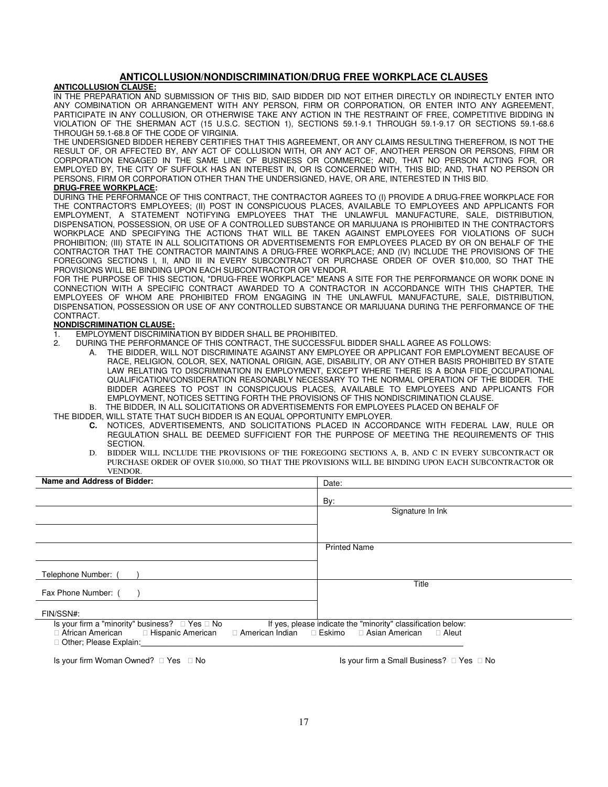### **ANTICOLLUSION/NONDISCRIMINATION/DRUG FREE WORKPLACE CLAUSES**

#### **ANTICOLLUSION CLAUSE:**

IN THE PREPARATION AND SUBMISSION OF THIS BID, SAID BIDDER DID NOT EITHER DIRECTLY OR INDIRECTLY ENTER INTO ANY COMBINATION OR ARRANGEMENT WITH ANY PERSON, FIRM OR CORPORATION, OR ENTER INTO ANY AGREEMENT, PARTICIPATE IN ANY COLLUSION, OR OTHERWISE TAKE ANY ACTION IN THE RESTRAINT OF FREE, COMPETITIVE BIDDING IN VIOLATION OF THE SHERMAN ACT (15 U.S.C. SECTION 1), SECTIONS 59.1-9.1 THROUGH 59.1-9.17 OR SECTIONS 59.1-68.6 THROUGH 59.1-68.8 OF THE CODE OF VIRGINIA.

THE UNDERSIGNED BIDDER HEREBY CERTIFIES THAT THIS AGREEMENT, OR ANY CLAIMS RESULTING THEREFROM, IS NOT THE RESULT OF, OR AFFECTED BY, ANY ACT OF COLLUSION WITH, OR ANY ACT OF, ANOTHER PERSON OR PERSONS, FIRM OR CORPORATION ENGAGED IN THE SAME LINE OF BUSINESS OR COMMERCE; AND, THAT NO PERSON ACTING FOR, OR EMPLOYED BY, THE CITY OF SUFFOLK HAS AN INTEREST IN, OR IS CONCERNED WITH, THIS BID; AND, THAT NO PERSON OR PERSONS, FIRM OR CORPORATION OTHER THAN THE UNDERSIGNED, HAVE, OR ARE, INTERESTED IN THIS BID.

#### **DRUG-FREE WORKPLACE:**

DURING THE PERFORMANCE OF THIS CONTRACT, THE CONTRACTOR AGREES TO (I) PROVIDE A DRUG-FREE WORKPLACE FOR THE CONTRACTOR'S EMPLOYEES; (II) POST IN CONSPICUOUS PLACES, AVAILABLE TO EMPLOYEES AND APPLICANTS FOR EMPLOYMENT, A STATEMENT NOTIFYING EMPLOYEES THAT THE UNLAWFUL MANUFACTURE, SALE, DISTRIBUTION, DISPENSATION, POSSESSION, OR USE OF A CONTROLLED SUBSTANCE OR MARIJUANA IS PROHIBITED IN THE CONTRACTOR'S WORKPLACE AND SPECIFYING THE ACTIONS THAT WILL BE TAKEN AGAINST EMPLOYEES FOR VIOLATIONS OF SUCH PROHIBITION; (III) STATE IN ALL SOLICITATIONS OR ADVERTISEMENTS FOR EMPLOYEES PLACED BY OR ON BEHALF OF THE CONTRACTOR THAT THE CONTRACTOR MAINTAINS A DRUG-FREE WORKPLACE; AND (IV) INCLUDE THE PROVISIONS OF THE FOREGOING SECTIONS I, II, AND III IN EVERY SUBCONTRACT OR PURCHASE ORDER OF OVER \$10,000, SO THAT THE PROVISIONS WILL BE BINDING UPON EACH SUBCONTRACTOR OR VENDOR.

FOR THE PURPOSE OF THIS SECTION, "DRUG-FREE WORKPLACE" MEANS A SITE FOR THE PERFORMANCE OR WORK DONE IN CONNECTION WITH A SPECIFIC CONTRACT AWARDED TO A CONTRACTOR IN ACCORDANCE WITH THIS CHAPTER, THE EMPLOYEES OF WHOM ARE PROHIBITED FROM ENGAGING IN THE UNLAWFUL MANUFACTURE, SALE, DISTRIBUTION, DISPENSATION, POSSESSION OR USE OF ANY CONTROLLED SUBSTANCE OR MARIJUANA DURING THE PERFORMANCE OF THE CONTRACT.

#### **NONDISCRIMINATION CLAUSE:**

- 1. EMPLOYMENT DISCRIMINATION BY BIDDER SHALL BE PROHIBITED.<br>2. DURING THE PERFORMANCE OF THIS CONTRACT. THE SUCCESSEL
	- 2. DURING THE PERFORMANCE OF THIS CONTRACT, THE SUCCESSFUL BIDDER SHALL AGREE AS FOLLOWS:
		- A. THE BIDDER, WILL NOT DISCRIMINATE AGAINST ANY EMPLOYEE OR APPLICANT FOR EMPLOYMENT BECAUSE OF RACE, RELIGION, COLOR, SEX, NATIONAL ORIGIN, AGE, DISABILITY, OR ANY OTHER BASIS PROHIBITED BY STATE LAW RELATING TO DISCRIMINATION IN EMPLOYMENT, EXCEPT WHERE THERE IS A BONA FIDE OCCUPATIONAL QUALIFICATION/CONSIDERATION REASONABLY NECESSARY TO THE NORMAL OPERATION OF THE BIDDER. THE BIDDER AGREES TO POST IN CONSPICUOUS PLACES, AVAILABLE TO EMPLOYEES AND APPLICANTS FOR EMPLOYMENT, NOTICES SETTING FORTH THE PROVISIONS OF THIS NONDISCRIMINATION CLAUSE. B. THE BIDDER, IN ALL SOLICITATIONS OR ADVERTISEMENTS FOR EMPLOYEES PLACED ON BEHALF OF

THE BIDDER, WILL STATE THAT SUCH BIDDER IS AN EQUAL OPPORTUNITY EMPLOYER.

- **C.** NOTICES, ADVERTISEMENTS, AND SOLICITATIONS PLACED IN ACCORDANCE WITH FEDERAL LAW, RULE OR REGULATION SHALL BE DEEMED SUFFICIENT FOR THE PURPOSE OF MEETING THE REQUIREMENTS OF THIS SECTION.
- D. BIDDER WILL INCLUDE THE PROVISIONS OF THE FOREGOING SECTIONS A, B, AND C IN EVERY SUBCONTRACT OR PURCHASE ORDER OF OVER \$10,000, SO THAT THE PROVISIONS WILL BE BINDING UPON EACH SUBCONTRACTOR OR VENDOR.

| Name and Address of Bidder:                                                                                                      | Date:                                                                                             |  |
|----------------------------------------------------------------------------------------------------------------------------------|---------------------------------------------------------------------------------------------------|--|
|                                                                                                                                  | By:                                                                                               |  |
|                                                                                                                                  | Signature In Ink                                                                                  |  |
|                                                                                                                                  |                                                                                                   |  |
|                                                                                                                                  | <b>Printed Name</b>                                                                               |  |
| Telephone Number: (                                                                                                              |                                                                                                   |  |
| Fax Phone Number: (                                                                                                              | Title                                                                                             |  |
| FIN/SSN#:                                                                                                                        |                                                                                                   |  |
| Is your firm a "minority" business?<br>Yes No<br>African American Hispanic American<br>American Indian<br>Other; Please Explain: | If yes, please indicate the "minority" classification below:<br>Eskimo<br>Asian American<br>Aleut |  |
|                                                                                                                                  |                                                                                                   |  |

Is your firm Woman Owned? Yes No Is your firm a Small Business? Yes No